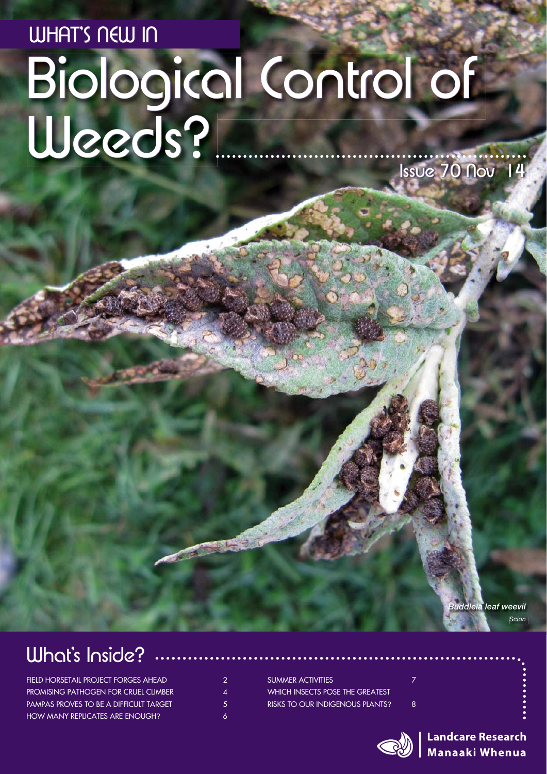# WHAT'S NEW IN<br>Biological Control of W Weeds?  $Isve 70$  Nov  $14$

*Buddleia leaf weevil Scion*

### What's Inside?

FIELD HORSETAIL PROJECT FORGES AHEAD PROMISING PATHOGEN FOR CRUEL CLIMBER 4 PAMPAS PROVES TO BE A DIFFICULT TARGET 5 HOW MANY REPLICATES ARE ENOUGH? 6

SUMMER ACTIVITIES **7** WHICH INSECTS POSE THE GREATEST RISKS TO OUR INDIGENOUS PLANTS? 8

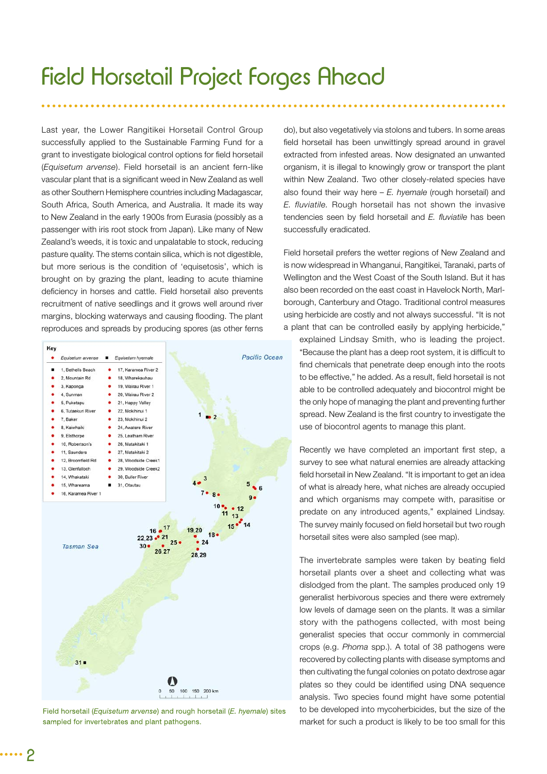### Field Horsetail Project Forges Ahead

Last year, the Lower Rangitikei Horsetail Control Group successfully applied to the Sustainable Farming Fund for a grant to investigate biological control options for field horsetail (*Equisetum arvense*). Field horsetail is an ancient fern-like vascular plant that is a significant weed in New Zealand as well as other Southern Hemisphere countries including Madagascar, South Africa, South America, and Australia. It made its way to New Zealand in the early 1900s from Eurasia (possibly as a passenger with iris root stock from Japan). Like many of New Zealand's weeds, it is toxic and unpalatable to stock, reducing pasture quality. The stems contain silica, which is not digestible, but more serious is the condition of 'equisetosis', which is brought on by grazing the plant, leading to acute thiamine deficiency in horses and cattle. Field horsetail also prevents recruitment of native seedlings and it grows well around river margins, blocking waterways and causing flooding. The plant reproduces and spreads by producing spores (as other ferns



Field horsetail (Equisetum arvense) and rough horsetail (E. hyemale) sites sampled for invertebrates and plant pathogens.

do), but also vegetatively via stolons and tubers. In some areas field horsetail has been unwittingly spread around in gravel extracted from infested areas. Now designated an unwanted organism, it is illegal to knowingly grow or transport the plant within New Zealand. Two other closely-related species have also found their way here – *E. hyemale* (rough horsetail) and *E. fluviatile.* Rough horsetail has not shown the invasive tendencies seen by field horsetail and *E. fluviatile* has been successfully eradicated.

Field horsetail prefers the wetter regions of New Zealand and is now widespread in Whanganui, Rangitikei, Taranaki, parts of Wellington and the West Coast of the South Island. But it has also been recorded on the east coast in Havelock North, Marlborough, Canterbury and Otago. Traditional control measures using herbicide are costly and not always successful. "It is not a plant that can be controlled easily by applying herbicide,"

explained Lindsay Smith, who is leading the project. "Because the plant has a deep root system, it is difficult to find chemicals that penetrate deep enough into the roots to be effective," he added. As a result, field horsetail is not able to be controlled adequately and biocontrol might be the only hope of managing the plant and preventing further spread. New Zealand is the first country to investigate the use of biocontrol agents to manage this plant.

Recently we have completed an important first step, a survey to see what natural enemies are already attacking field horsetail in New Zealand. "It is important to get an idea of what is already here, what niches are already occupied and which organisms may compete with, parasitise or predate on any introduced agents," explained Lindsay. The survey mainly focused on field horsetail but two rough horsetail sites were also sampled (see map).

The invertebrate samples were taken by beating field horsetail plants over a sheet and collecting what was dislodged from the plant. The samples produced only 19 generalist herbivorous species and there were extremely low levels of damage seen on the plants. It was a similar story with the pathogens collected, with most being generalist species that occur commonly in commercial crops (e.g. *Phoma* spp.). A total of 38 pathogens were recovered by collecting plants with disease symptoms and then cultivating the fungal colonies on potato dextrose agar plates so they could be identified using DNA sequence analysis. Two species found might have some potential to be developed into mycoherbicides, but the size of the market for such a product is likely to be too small for this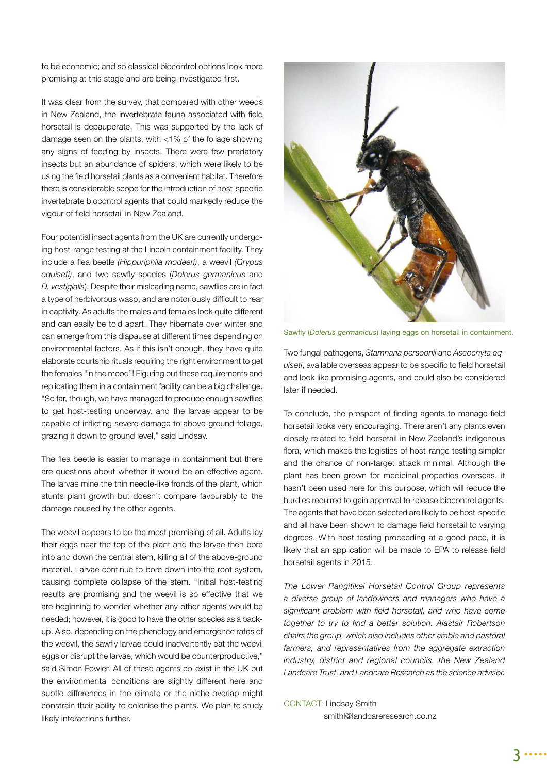to be economic; and so classical biocontrol options look more promising at this stage and are being investigated first.

It was clear from the survey, that compared with other weeds in New Zealand, the invertebrate fauna associated with field horsetail is depauperate. This was supported by the lack of damage seen on the plants, with <1% of the foliage showing any signs of feeding by insects. There were few predatory insects but an abundance of spiders, which were likely to be using the field horsetail plants as a convenient habitat. Therefore there is considerable scope for the introduction of host-specific invertebrate biocontrol agents that could markedly reduce the vigour of field horsetail in New Zealand.

Four potential insect agents from the UK are currently undergoing host-range testing at the Lincoln containment facility. They include a flea beetle (Hippuriphila modeeri), a weevil *(Grypus equiseti*), and two sawfly species (*Dolerus germanicus* and *D. vestigialis*). Despite their misleading name, sawflies are in fact a type of herbivorous wasp, and are notoriously difficult to rear in captivity. As adults the males and females look quite different and can easily be told apart. They hibernate over winter and can emerge from this diapause at different times depending on environmental factors. As if this isn't enough, they have quite elaborate courtship rituals requiring the right environment to get the females "in the mood"! Figuring out these requirements and replicating them in a containment facility can be a big challenge. "So far, though, we have managed to produce enough sawflies to get host-testing underway, and the larvae appear to be capable of inflicting severe damage to above-ground foliage, grazing it down to ground level," said Lindsay.

The flea beetle is easier to manage in containment but there are questions about whether it would be an effective agent. The larvae mine the thin needle-like fronds of the plant, which stunts plant growth but doesn't compare favourably to the damage caused by the other agents.

The weevil appears to be the most promising of all. Adults lay their eggs near the top of the plant and the larvae then bore into and down the central stem, killing all of the above-ground material. Larvae continue to bore down into the root system, causing complete collapse of the stem. "Initial host-testing results are promising and the weevil is so effective that we are beginning to wonder whether any other agents would be needed; however, it is good to have the other species as a backup. Also, depending on the phenology and emergence rates of the weevil, the sawfly larvae could inadvertently eat the weevil eggs or disrupt the larvae, which would be counterproductive," said Simon Fowler. All of these agents co-exist in the UK but the environmental conditions are slightly different here and subtle differences in the climate or the niche-overlap might constrain their ability to colonise the plants. We plan to study likely interactions further.



Sawfly (Dolerus germanicus) laying eggs on horsetail in containment.

Two fungal pathogens, *Stamnaria persoonii* and *Ascochyta equiseti*, available overseas appear to be specific to field horsetail and look like promising agents, and could also be considered later if needed.

To conclude, the prospect of finding agents to manage field horsetail looks very encouraging. There aren't any plants even closely related to field horsetail in New Zealand's indigenous flora, which makes the logistics of host-range testing simpler and the chance of non-target attack minimal. Although the plant has been grown for medicinal properties overseas, it hasn't been used here for this purpose, which will reduce the hurdles required to gain approval to release biocontrol agents. The agents that have been selected are likely to be host-specific and all have been shown to damage field horsetail to varying degrees. With host-testing proceeding at a good pace, it is likely that an application will be made to EPA to release field horsetail agents in 2015.

*The Lower Rangitikei Horsetail Control Group represents a diverse group of landowners and managers who have a*  significant problem with field horsetail, and who have come together to try to find a better solution. Alastair Robertson *chairs the group, which also includes other arable and pastoral farmers, and representatives from the aggregate extraction industry, district and regional councils, the New Zealand Landcare Trust, and Landcare Research as the science advisor.*

#### CONTACT: Lindsay Smith

smithl@landcareresearch.co.nz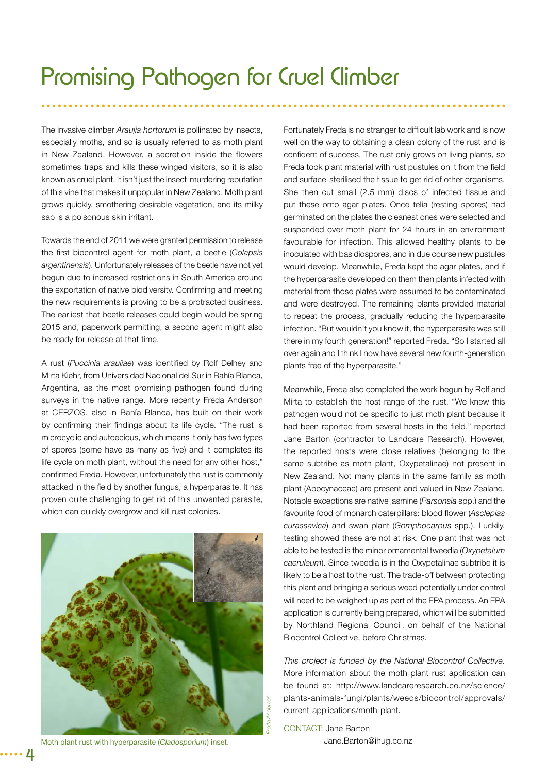The invasive climber *Araujia hortorum* is pollinated by insects, especially moths, and so is usually referred to as moth plant in New Zealand. However, a secretion inside the flowers sometimes traps and kills these winged visitors, so it is also known as cruel plant. It isn't just the insect-murdering reputation of this vine that makes it unpopular in New Zealand. Moth plant grows quickly, smothering desirable vegetation, and its milky sap is a poisonous skin irritant.

Towards the end of 2011 we were granted permission to release the first biocontrol agent for moth plant, a beetle (Colapsis *argentinensis*). Unfortunately releases of the beetle have not yet begun due to increased restrictions in South America around the exportation of native biodiversity. Confirming and meeting the new requirements is proving to be a protracted business. The earliest that beetle releases could begin would be spring 2015 and, paperwork permitting, a second agent might also be ready for release at that time.

A rust (Puccinia araujiae) was identified by Rolf Delhey and Mirta Kiehr, from Universidad Nacional del Sur in Bahía Blanca, Argentina, as the most promising pathogen found during surveys in the native range. More recently Freda Anderson at CERZOS, also in Bahía Blanca, has built on their work by confirming their findings about its life cycle. "The rust is microcyclic and autoecious, which means it only has two types of spores (some have as many as five) and it completes its life cycle on moth plant, without the need for any other host," confirmed Freda. However, unfortunately the rust is commonly attacked in the field by another fungus, a hyperparasite. It has proven quite challenging to get rid of this unwanted parasite, which can quickly overgrow and kill rust colonies.



Moth plant rust with hyperparasite (*Cladosporium*) inset.

Fortunately Freda is no stranger to difficult lab work and is now well on the way to obtaining a clean colony of the rust and is confident of success. The rust only grows on living plants, so Freda took plant material with rust pustules on it from the field and surface-sterilised the tissue to get rid of other organisms. She then cut small (2.5 mm) discs of infected tissue and put these onto agar plates. Once telia (resting spores) had germinated on the plates the cleanest ones were selected and suspended over moth plant for 24 hours in an environment favourable for infection. This allowed healthy plants to be inoculated with basidiospores, and in due course new pustules would develop. Meanwhile, Freda kept the agar plates, and if the hyperparasite developed on them then plants infected with material from those plates were assumed to be contaminated and were destroyed. The remaining plants provided material to repeat the process, gradually reducing the hyperparasite infection. "But wouldn't you know it, the hyperparasite was still there in my fourth generation!" reported Freda. "So I started all over again and I think I now have several new fourth-generation plants free of the hyperparasite."

Meanwhile, Freda also completed the work begun by Rolf and Mirta to establish the host range of the rust. "We knew this pathogen would not be specific to just moth plant because it had been reported from several hosts in the field," reported Jane Barton (contractor to Landcare Research). However, the reported hosts were close relatives (belonging to the same subtribe as moth plant, Oxypetalinae) not present in New Zealand. Not many plants in the same family as moth plant (Apocynaceae) are present and valued in New Zealand. Notable exceptions are native jasmine (*Parsonsia* spp.) and the favourite food of monarch caterpillars: blood flower (Asclepias *curassavica*) and swan plant (*Gomphocarpus* spp.). Luckily, testing showed these are not at risk. One plant that was not able to be tested is the minor ornamental tweedia (*Oxypetalum caeruleum*). Since tweedia is in the Oxypetalinae subtribe it is likely to be a host to the rust. The trade-off between protecting this plant and bringing a serious weed potentially under control will need to be weighed up as part of the EPA process. An EPA application is currently being prepared, which will be submitted by Northland Regional Council, on behalf of the National Biocontrol Collective, before Christmas.

*This project is funded by the National Biocontrol Collective.*  More information about the moth plant rust application can be found at: http://www.landcareresearch.co.nz/science/ plants-animals-fungi/plants/weeds/biocontrol/approvals/ current-applications/moth-plant.

CONTACT: Jane Barton Jane.Barton@ihug.co.nz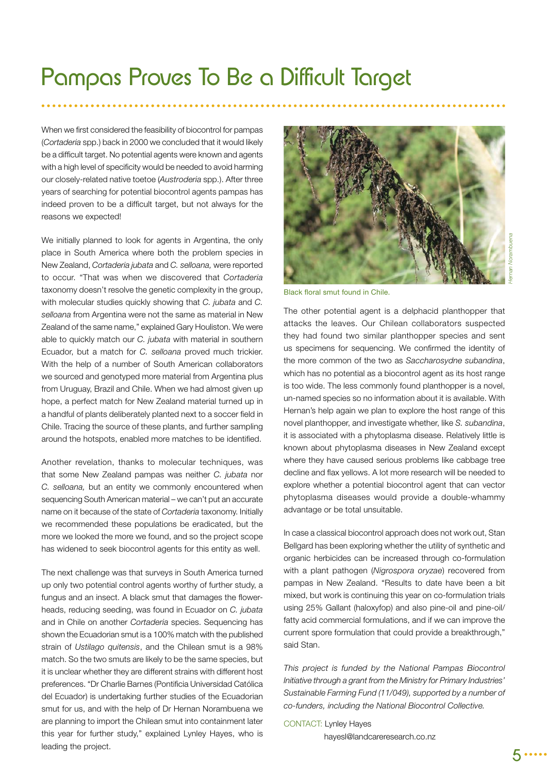### Pampas Proves To Be a Difficult Target

When we first considered the feasibility of biocontrol for pampas (*Cortaderia* spp.) back in 2000 we concluded that it would likely be a difficult target. No potential agents were known and agents with a high level of specificity would be needed to avoid harming our closely-related native toetoe (*Austroderia* spp.). After three years of searching for potential biocontrol agents pampas has indeed proven to be a difficult target, but not always for the reasons we expected!

We initially planned to look for agents in Argentina, the only place in South America where both the problem species in New Zealand, *Cortaderia jubata* and *C. selloana,* were reported to occur. "That was when we discovered that *Cortaderia* taxonomy doesn't resolve the genetic complexity in the group, with molecular studies quickly showing that *C. jubata* and *C. selloana* from Argentina were not the same as material in New Zealand of the same name," explained Gary Houliston. We were able to quickly match our *C. jubata* with material in southern Ecuador, but a match for *C. selloana* proved much trickier. With the help of a number of South American collaborators we sourced and genotyped more material from Argentina plus from Uruguay, Brazil and Chile. When we had almost given up hope, a perfect match for New Zealand material turned up in a handful of plants deliberately planted next to a soccer field in Chile. Tracing the source of these plants, and further sampling around the hotspots, enabled more matches to be identified.

Another revelation, thanks to molecular techniques, was that some New Zealand pampas was neither *C. jubata* nor *C. selloana,* but an entity we commonly encountered when sequencing South American material – we can't put an accurate name on it because of the state of *Cortaderia* taxonomy. Initially we recommended these populations be eradicated, but the more we looked the more we found, and so the project scope has widened to seek biocontrol agents for this entity as well.

The next challenge was that surveys in South America turned up only two potential control agents worthy of further study, a fungus and an insect. A black smut that damages the flowerheads, reducing seeding, was found in Ecuador on *C. jubata* and in Chile on another *Cortaderia* species. Sequencing has shown the Ecuadorian smut is a 100% match with the published strain of *Ustilago quitensis*, and the Chilean smut is a 98% match. So the two smuts are likely to be the same species, but it is unclear whether they are different strains with different host preferences. "Dr Charlie Barnes (Pontificia Universidad Católica del Ecuador) is undertaking further studies of the Ecuadorian smut for us, and with the help of Dr Hernan Norambuena we are planning to import the Chilean smut into containment later this year for further study," explained Lynley Hayes, who is leading the project.



Black floral smut found in Chile.

The other potential agent is a delphacid planthopper that attacks the leaves. Our Chilean collaborators suspected they had found two similar planthopper species and sent us specimens for sequencing. We confirmed the identity of the more common of the two as *Saccharosydne subandina*, which has no potential as a biocontrol agent as its host range is too wide. The less commonly found planthopper is a novel, un-named species so no information about it is available. With Hernan's help again we plan to explore the host range of this novel planthopper, and investigate whether, like *S. subandina*, it is associated with a phytoplasma disease. Relatively little is known about phytoplasma diseases in New Zealand except where they have caused serious problems like cabbage tree decline and flax yellows. A lot more research will be needed to explore whether a potential biocontrol agent that can vector phytoplasma diseases would provide a double-whammy advantage or be total unsuitable.

In case a classical biocontrol approach does not work out, Stan Bellgard has been exploring whether the utility of synthetic and organic herbicides can be increased through co-formulation with a plant pathogen (*Nigrospora oryzae*) recovered from pampas in New Zealand. "Results to date have been a bit mixed, but work is continuing this year on co-formulation trials using 25% Gallant (haloxyfop) and also pine-oil and pine-oil/ fatty acid commercial formulations, and if we can improve the current spore formulation that could provide a breakthrough," said Stan.

*This project is funded by the National Pampas Biocontrol Initiative through a grant from the Ministry for Primary Industries' Sustainable Farming Fund (11/049), supported by a number of co-funders, including the National Biocontrol Collective.* 

#### CONTACT: Lynley Hayes hayesl@landcareresearch.co.nz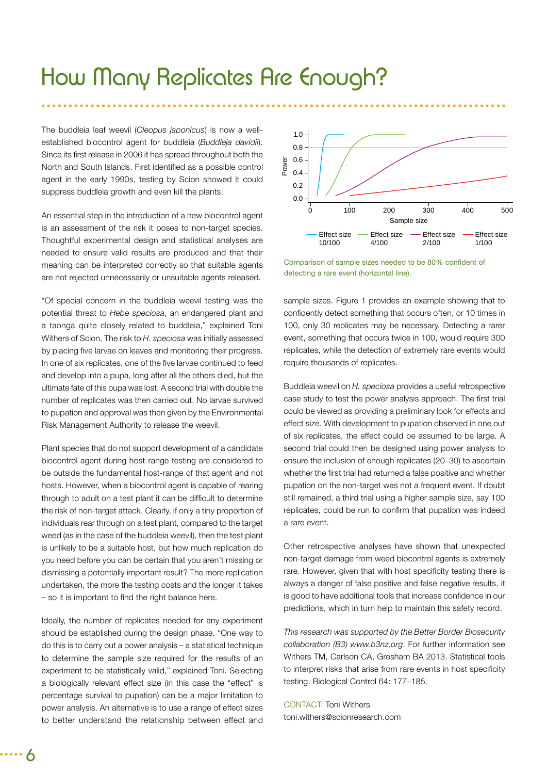### How Many Replicates Are Enough?

The buddleia leaf weevil (*Cleopus japonicus*) is now a wellestablished biocontrol agent for buddleia (*Buddleja davidii*). Since its first release in 2006 it has spread throughout both the North and South Islands. First identified as a possible control agent in the early 1990s, testing by Scion showed it could suppress buddleia growth and even kill the plants.

An essential step in the introduction of a new biocontrol agent is an assessment of the risk it poses to non-target species. Thoughtful experimental design and statistical analyses are needed to ensure valid results are produced and that their meaning can be interpreted correctly so that suitable agents are not rejected unnecessarily or unsuitable agents released.

"Of special concern in the buddleia weevil testing was the potential threat to *Hebe speciosa*, an endangered plant and a taonga quite closely related to buddleia," explained Toni Withers of Scion. The risk to *H. speciosa* was initially assessed by placing five larvae on leaves and monitoring their progress. In one of six replicates, one of the five larvae continued to feed and develop into a pupa, long after all the others died, but the ultimate fate of this pupa was lost. A second trial with double the number of replicates was then carried out. No larvae survived to pupation and approval was then given by the Environmental Risk Management Authority to release the weevil.

Plant species that do not support development of a candidate biocontrol agent during host-range testing are considered to be outside the fundamental host-range of that agent and not hosts. However, when a biocontrol agent is capable of rearing through to adult on a test plant it can be difficult to determine the risk of non-target attack. Clearly, if only a tiny proportion of individuals rear through on a test plant, compared to the target weed (as in the case of the buddleia weevil), then the test plant is unlikely to be a suitable host, but how much replication do you need before you can be certain that you aren't missing or dismissing a potentially important result? The more replication undertaken, the more the testing costs and the longer it takes  $-$  so it is important to find the right balance here.

Ideally, the number of replicates needed for any experiment should be established during the design phase. "One way to do this is to carry out a power analysis – a statistical technique to determine the sample size required for the results of an experiment to be statistically valid," explained Toni. Selecting a biologically relevant effect size (in this case the "effect" is percentage survival to pupation) can be a major limitation to power analysis. An alternative is to use a range of effect sizes to better understand the relationship between effect and



Comparison of sample sizes needed to be 80% confident of detecting a rare event (horizontal line).

sample sizes. Figure 1 provides an example showing that to confidently detect something that occurs often, or 10 times in 100, only 30 replicates may be necessary. Detecting a rarer event, something that occurs twice in 100, would require 300 replicates, while the detection of extremely rare events would require thousands of replicates.

Buddleia weevil on *H. speciosa* provides a useful retrospective case study to test the power analysis approach. The first trial could be viewed as providing a preliminary look for effects and effect size. With development to pupation observed in one out of six replicates, the effect could be assumed to be large. A second trial could then be designed using power analysis to ensure the inclusion of enough replicates (20–30) to ascertain whether the first trial had returned a false positive and whether pupation on the non-target was not a frequent event. If doubt still remained, a third trial using a higher sample size, say 100 replicates, could be run to confirm that pupation was indeed a rare event.

Other retrospective analyses have shown that unexpected non-target damage from weed biocontrol agents is extremely rare. However, given that with host specificity testing there is always a danger of false positive and false negative results, it is good to have additional tools that increase confidence in our predictions, which in turn help to maintain this safety record.

*This research was supported by the Better Border Biosecurity collaboration (B3) www.b3nz.org*. For further information see Withers TM, Carlson CA, Gresham BA 2013. Statistical tools to interpret risks that arise from rare events in host specificity testing. Biological Control 64: 177–185.

CONTACT: Toni Withers toni.withers@scionresearch.com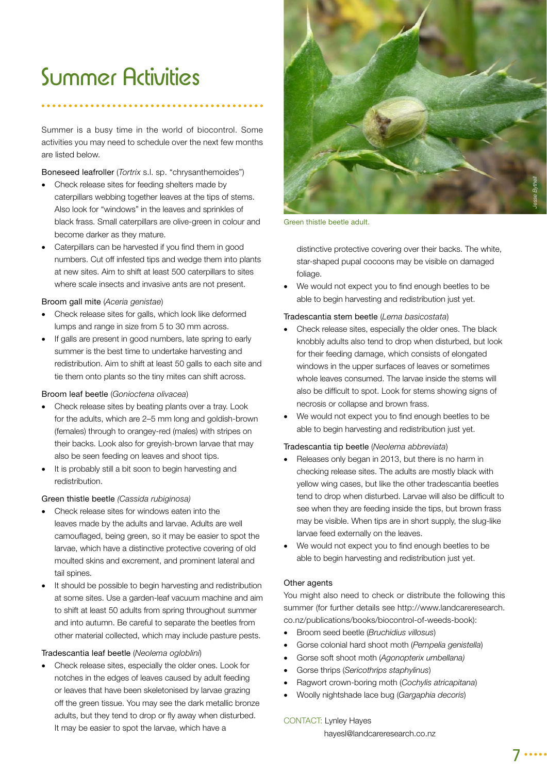## Summer Activities

Summer is a busy time in the world of biocontrol. Some activities you may need to schedule over the next few months are listed below.

Boneseed leafroller (*Tortrix* s.l. sp. "chrysanthemoides")

- Check release sites for feeding shelters made by caterpillars webbing together leaves at the tips of stems. Also look for "windows" in the leaves and sprinkles of black frass. Small caterpillars are olive-green in colour and become darker as they mature.
- Caterpillars can be harvested if you find them in good numbers. Cut off infested tips and wedge them into plants at new sites. Aim to shift at least 500 caterpillars to sites where scale insects and invasive ants are not present.

#### Broom gall mite (*Aceria genistae*)

- Check release sites for galls, which look like deformed lumps and range in size from 5 to 30 mm across.
- If galls are present in good numbers, late spring to early summer is the best time to undertake harvesting and redistribution. Aim to shift at least 50 galls to each site and tie them onto plants so the tiny mites can shift across.

#### Broom leaf beetle (*Gonioctena olivacea*)

- Check release sites by beating plants over a tray. Look for the adults, which are 2–5 mm long and goldish-brown (females) through to orangey-red (males) with stripes on their backs. Look also for greyish-brown larvae that may also be seen feeding on leaves and shoot tips.
- It is probably still a bit soon to begin harvesting and redistribution.

#### Green thistle beetle *(Cassida rubiginosa)*

- Check release sites for windows eaten into the leaves made by the adults and larvae. Adults are well camouflaged, being green, so it may be easier to spot the larvae, which have a distinctive protective covering of old moulted skins and excrement, and prominent lateral and tail spines.
- It should be possible to begin harvesting and redistribution at some sites. Use a garden-leaf vacuum machine and aim to shift at least 50 adults from spring throughout summer and into autumn. Be careful to separate the beetles from other material collected, which may include pasture pests.

#### Tradescantia leaf beetle (*Neolema ogloblini*)

 Check release sites, especially the older ones. Look for notches in the edges of leaves caused by adult feeding or leaves that have been skeletonised by larvae grazing off the green tissue. You may see the dark metallic bronze adults, but they tend to drop or fly away when disturbed. It may be easier to spot the larvae, which have a



Green thistle beetle adult.

distinctive protective covering over their backs. The white, star-shaped pupal cocoons may be visible on damaged foliage.

We would not expect you to find enough beetles to be able to begin harvesting and redistribution just yet.

#### Tradescantia stem beetle (*Lema basicostata*)

- Check release sites, especially the older ones. The black knobbly adults also tend to drop when disturbed, but look for their feeding damage, which consists of elongated windows in the upper surfaces of leaves or sometimes whole leaves consumed. The larvae inside the stems will also be difficult to spot. Look for stems showing signs of necrosis or collapse and brown frass.
- We would not expect you to find enough beetles to be able to begin harvesting and redistribution just yet.

#### Tradescantia tip beetle (*Neolema abbreviata*)

- Releases only began in 2013, but there is no harm in checking release sites. The adults are mostly black with yellow wing cases, but like the other tradescantia beetles tend to drop when disturbed. Larvae will also be difficult to see when they are feeding inside the tips, but brown frass may be visible. When tips are in short supply, the slug-like larvae feed externally on the leaves.
- We would not expect you to find enough beetles to be able to begin harvesting and redistribution just yet.

#### Other agents

You might also need to check or distribute the following this summer (for further details see http://www.landcareresearch. co.nz/publications/books/biocontrol-of-weeds-book):

- Broom seed beetle (*Bruchidius villosus*)
- Gorse colonial hard shoot moth (*Pempelia genistella*)
- Gorse soft shoot moth (*Agonopterix umbellana)*
- Gorse thrips (*Sericothrips staphylinus*)
- Ragwort crown-boring moth (*Cochylis atricapitana*)
- Woolly nightshade lace bug (*Gargaphia decoris*)

#### CONTACT: Lynley Hayes

hayesl@landcareresearch.co.nz